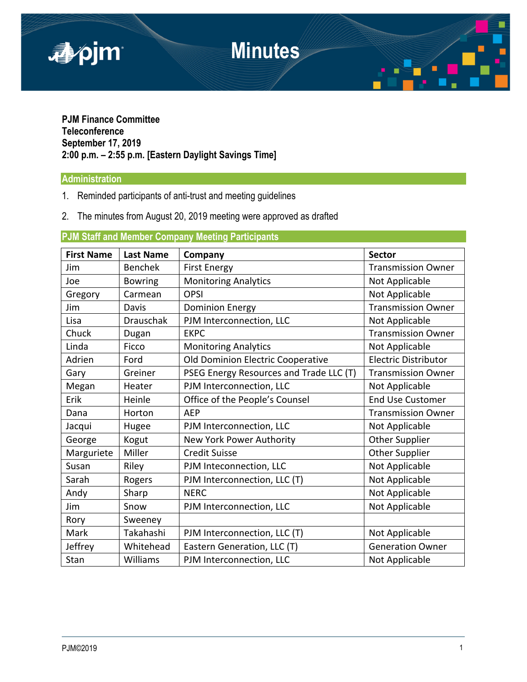

# **PJM Finance Committee Teleconference September 17, 2019 2:00 p.m. – 2:55 p.m. [Eastern Daylight Savings Time]**

## **Administration**

- 1. Reminded participants of anti-trust and meeting guidelines
- 2. The minutes from August 20, 2019 meeting were approved as drafted

# **PJM Staff and Member Company Meeting Participants**

| <b>First Name</b> | <b>Last Name</b> | Company                                 | <b>Sector</b>               |
|-------------------|------------------|-----------------------------------------|-----------------------------|
| Jim               | <b>Benchek</b>   | <b>First Energy</b>                     | <b>Transmission Owner</b>   |
| Joe               | <b>Bowring</b>   | <b>Monitoring Analytics</b>             | Not Applicable              |
| Gregory           | Carmean          | <b>OPSI</b>                             | Not Applicable              |
| Jim               | Davis            | <b>Dominion Energy</b>                  | <b>Transmission Owner</b>   |
| Lisa              | <b>Drauschak</b> | PJM Interconnection, LLC                | Not Applicable              |
| Chuck             | Dugan            | <b>EKPC</b>                             | <b>Transmission Owner</b>   |
| Linda             | Ficco            | <b>Monitoring Analytics</b>             | Not Applicable              |
| Adrien            | Ford             | Old Dominion Electric Cooperative       | <b>Electric Distributor</b> |
| Gary              | Greiner          | PSEG Energy Resources and Trade LLC (T) | <b>Transmission Owner</b>   |
| Megan             | Heater           | PJM Interconnection, LLC                | Not Applicable              |
| Erik              | Heinle           | Office of the People's Counsel          | <b>End Use Customer</b>     |
| Dana              | Horton           | <b>AEP</b>                              | <b>Transmission Owner</b>   |
| Jacqui            | Hugee            | PJM Interconnection, LLC                | Not Applicable              |
| George            | Kogut            | New York Power Authority                | <b>Other Supplier</b>       |
| Marguriete        | Miller           | <b>Credit Suisse</b>                    | <b>Other Supplier</b>       |
| Susan             | Riley            | PJM Inteconnection, LLC                 | Not Applicable              |
| Sarah             | Rogers           | PJM Interconnection, LLC (T)            | Not Applicable              |
| Andy              | Sharp            | <b>NERC</b>                             | Not Applicable              |
| Jim               | Snow             | PJM Interconnection, LLC                | Not Applicable              |
| Rory              | Sweeney          |                                         |                             |
| Mark              | Takahashi        | PJM Interconnection, LLC (T)            | Not Applicable              |
| Jeffrey           | Whitehead        | Eastern Generation, LLC (T)             | <b>Generation Owner</b>     |
| Stan              | Williams         | PJM Interconnection, LLC                | Not Applicable              |